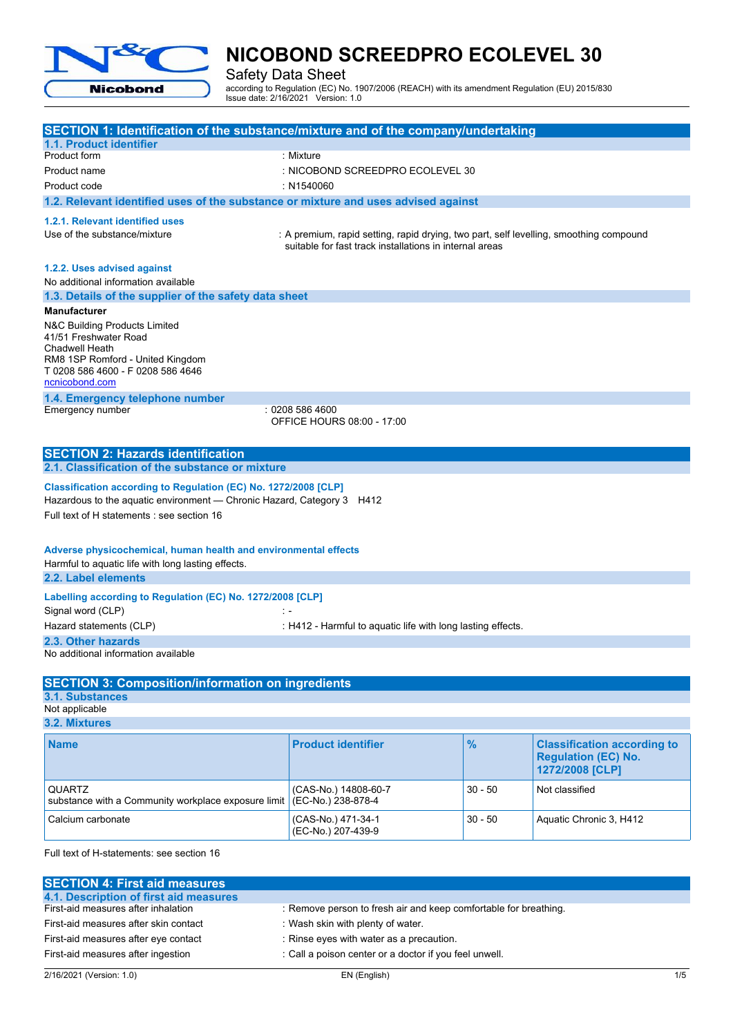

Safety Data Sheet

according to Regulation (EC) No. 1907/2006 (REACH) with its amendment Regulation (EU) 2015/830 Issue date: 2/16/2021 Version: 1.0

| SECTION 1: Identification of the substance/mixture and of the company/undertaking                                                                                                                                                                          |                                                                                                                                                   |               |                                                                                     |
|------------------------------------------------------------------------------------------------------------------------------------------------------------------------------------------------------------------------------------------------------------|---------------------------------------------------------------------------------------------------------------------------------------------------|---------------|-------------------------------------------------------------------------------------|
| 1.1. Product identifier                                                                                                                                                                                                                                    |                                                                                                                                                   |               |                                                                                     |
| Product form                                                                                                                                                                                                                                               | : Mixture                                                                                                                                         |               |                                                                                     |
| Product name                                                                                                                                                                                                                                               | : NICOBOND SCREEDPRO ECOLEVEL 30                                                                                                                  |               |                                                                                     |
| Product code                                                                                                                                                                                                                                               | : N1540060                                                                                                                                        |               |                                                                                     |
| 1.2. Relevant identified uses of the substance or mixture and uses advised against                                                                                                                                                                         |                                                                                                                                                   |               |                                                                                     |
| 1.2.1. Relevant identified uses<br>Use of the substance/mixture                                                                                                                                                                                            | : A premium, rapid setting, rapid drying, two part, self levelling, smoothing compound<br>suitable for fast track installations in internal areas |               |                                                                                     |
| 1.2.2. Uses advised against<br>No additional information available                                                                                                                                                                                         |                                                                                                                                                   |               |                                                                                     |
| 1.3. Details of the supplier of the safety data sheet                                                                                                                                                                                                      |                                                                                                                                                   |               |                                                                                     |
| <b>Manufacturer</b>                                                                                                                                                                                                                                        |                                                                                                                                                   |               |                                                                                     |
| N&C Building Products Limited<br>41/51 Freshwater Road<br><b>Chadwell Heath</b><br>RM8 1SP Romford - United Kingdom<br>T 0208 586 4600 - F 0208 586 4646<br>ncnicobond.com                                                                                 |                                                                                                                                                   |               |                                                                                     |
| 1.4. Emergency telephone number                                                                                                                                                                                                                            |                                                                                                                                                   |               |                                                                                     |
| Emergency number                                                                                                                                                                                                                                           | : 0208 586 4600<br>OFFICE HOURS 08:00 - 17:00                                                                                                     |               |                                                                                     |
| <b>SECTION 2: Hazards identification</b><br>2.1. Classification of the substance or mixture                                                                                                                                                                |                                                                                                                                                   |               |                                                                                     |
| Classification according to Regulation (EC) No. 1272/2008 [CLP]<br>Hazardous to the aquatic environment - Chronic Hazard, Category 3 H412<br>Full text of H statements : see section 16<br>Adverse physicochemical, human health and environmental effects |                                                                                                                                                   |               |                                                                                     |
| Harmful to aquatic life with long lasting effects.<br>2.2. Label elements                                                                                                                                                                                  |                                                                                                                                                   |               |                                                                                     |
| Labelling according to Regulation (EC) No. 1272/2008 [CLP]<br>Signal word (CLP)<br>$\mathbb{R}$ =                                                                                                                                                          |                                                                                                                                                   |               |                                                                                     |
| Hazard statements (CLP)                                                                                                                                                                                                                                    | : H412 - Harmful to aquatic life with long lasting effects.                                                                                       |               |                                                                                     |
| 2.3. Other hazards<br>No additional information available                                                                                                                                                                                                  |                                                                                                                                                   |               |                                                                                     |
| <b>SECTION 3: Composition/information on ingredients</b>                                                                                                                                                                                                   |                                                                                                                                                   |               |                                                                                     |
| <b>3.1. Substances</b><br>Not applicable                                                                                                                                                                                                                   |                                                                                                                                                   |               |                                                                                     |
| 3.2. Mixtures                                                                                                                                                                                                                                              |                                                                                                                                                   |               |                                                                                     |
| <b>Name</b>                                                                                                                                                                                                                                                | <b>Product identifier</b>                                                                                                                         | $\frac{9}{6}$ | <b>Classification according to</b><br><b>Regulation (EC) No.</b><br>1272/2008 [CLP] |
| QUARTZ<br>substance with a Community workplace exposure limit                                                                                                                                                                                              | (CAS-No.) 14808-60-7<br>(EC-No.) 238-878-4                                                                                                        | $30 - 50$     | Not classified                                                                      |
| Calcium carbonate                                                                                                                                                                                                                                          | (CAS-No.) 471-34-1<br>(EC-No.) 207-439-9                                                                                                          | $30 - 50$     | Aquatic Chronic 3, H412                                                             |
| Full text of H-statements: see section 16                                                                                                                                                                                                                  |                                                                                                                                                   |               |                                                                                     |

| <b>SECTION 4: First aid measures</b>   |                                                                  |
|----------------------------------------|------------------------------------------------------------------|
| 4.1. Description of first aid measures |                                                                  |
| First-aid measures after inhalation    | : Remove person to fresh air and keep comfortable for breathing. |
| First-aid measures after skin contact  | : Wash skin with plenty of water.                                |
| First-aid measures after eye contact   | : Rinse eyes with water as a precaution.                         |
| First-aid measures after ingestion     | : Call a poison center or a doctor if you feel unwell.           |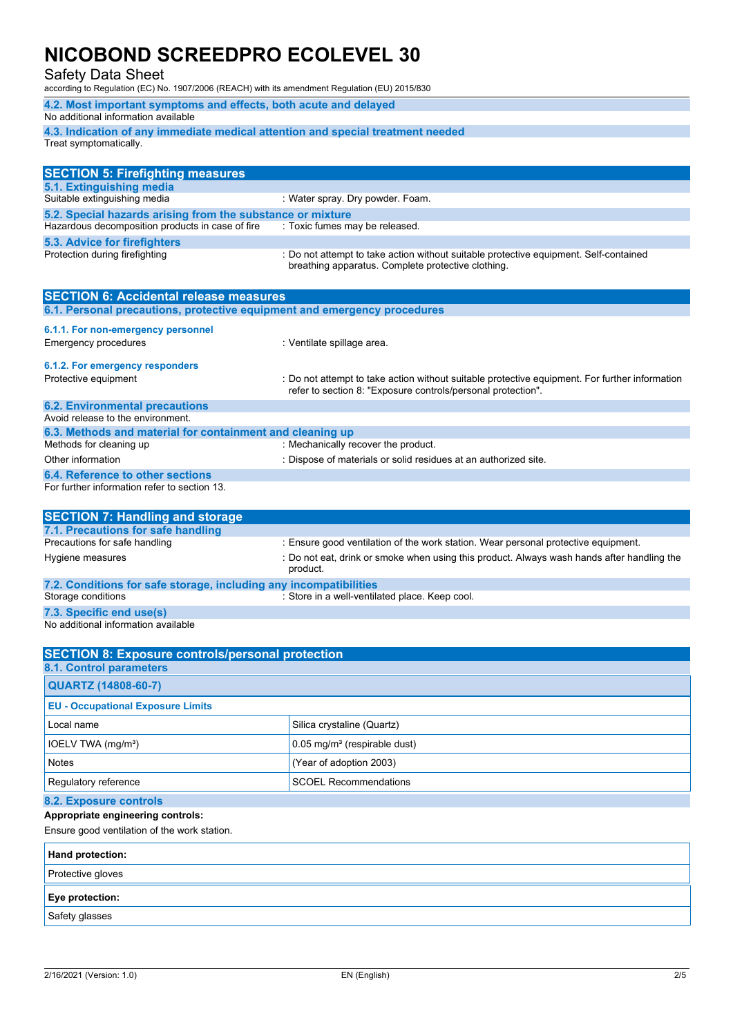Safety Data Sheet

according to Regulation (EC) No. 1907/2006 (REACH) with its amendment Regulation (EU) 2015/830

| 4.2. Most important symptoms and effects, both acute and delayed                |
|---------------------------------------------------------------------------------|
| No additional information available                                             |
| 4.3. Indication of any immediate medical attention and special treatment needed |
| Treat symptomatically.                                                          |
|                                                                                 |

| <b>SECTION 5: Firefighting measures</b>                    |                                                                                                                                             |
|------------------------------------------------------------|---------------------------------------------------------------------------------------------------------------------------------------------|
| 5.1. Extinguishing media                                   |                                                                                                                                             |
| Suitable extinguishing media                               | : Water spray. Dry powder. Foam.                                                                                                            |
| 5.2. Special hazards arising from the substance or mixture |                                                                                                                                             |
| Hazardous decomposition products in case of fire           | : Toxic fumes may be released.                                                                                                              |
| 5.3. Advice for firefighters                               |                                                                                                                                             |
| Protection during firefighting                             | : Do not attempt to take action without suitable protective equipment. Self-contained<br>breathing apparatus. Complete protective clothing. |
| <b>SECTION 6: Accidental release measures</b>              |                                                                                                                                             |

| 6.1. Personal precautions, protective equipment and emergency procedures |                                                                                                                                                                |  |
|--------------------------------------------------------------------------|----------------------------------------------------------------------------------------------------------------------------------------------------------------|--|
| 6.1.1. For non-emergency personnel                                       |                                                                                                                                                                |  |
| <b>Emergency procedures</b>                                              | : Ventilate spillage area.                                                                                                                                     |  |
| 6.1.2. For emergency responders                                          |                                                                                                                                                                |  |
| Protective equipment                                                     | : Do not attempt to take action without suitable protective equipment. For further information<br>refer to section 8. "Exposure controls/personal protection". |  |
| <b>6.2. Environmental precautions</b>                                    |                                                                                                                                                                |  |
| Avoid release to the environment.                                        |                                                                                                                                                                |  |
| 6.3. Methods and material for containment and cleaning up                |                                                                                                                                                                |  |
| Methods for cleaning up                                                  | : Mechanically recover the product.                                                                                                                            |  |
| Other information                                                        | : Dispose of materials or solid residues at an authorized site.                                                                                                |  |
| 6.4. Reference to other sections                                         |                                                                                                                                                                |  |
| For further information refer to section 13.                             |                                                                                                                                                                |  |

| <b>SECTION 7: Handling and storage</b>                            |                                                                                                        |
|-------------------------------------------------------------------|--------------------------------------------------------------------------------------------------------|
| 7.1. Precautions for safe handling                                |                                                                                                        |
| Precautions for safe handling                                     | : Ensure good ventilation of the work station. Wear personal protective equipment.                     |
| Hygiene measures                                                  | : Do not eat, drink or smoke when using this product. Always wash hands after handling the<br>product. |
| 7.2. Conditions for safe storage, including any incompatibilities |                                                                                                        |
| Storage conditions                                                | : Store in a well-ventilated place. Keep cool.                                                         |
| 7.3. Specific end use(s)                                          |                                                                                                        |

No additional information available

| <b>SECTION 8: Exposure controls/personal protection</b> |                                            |  |
|---------------------------------------------------------|--------------------------------------------|--|
| 8.1. Control parameters                                 |                                            |  |
| <b>QUARTZ (14808-60-7)</b>                              |                                            |  |
| <b>EU - Occupational Exposure Limits</b>                |                                            |  |
| Local name                                              | Silica crystaline (Quartz)                 |  |
| IOELV TWA (mg/m <sup>3</sup> )                          | $0.05$ mg/m <sup>3</sup> (respirable dust) |  |
| <b>Notes</b>                                            | (Year of adoption 2003)                    |  |
| Regulatory reference                                    | <b>SCOEL Recommendations</b>               |  |
| 8.2. Exposure controls                                  |                                            |  |

### **Appropriate engineering controls:**

Ensure good ventilation of the work station.

| <b>Hand protection:</b> |  |
|-------------------------|--|
| Protective gloves       |  |
| Eye protection:         |  |
| Safety glasses          |  |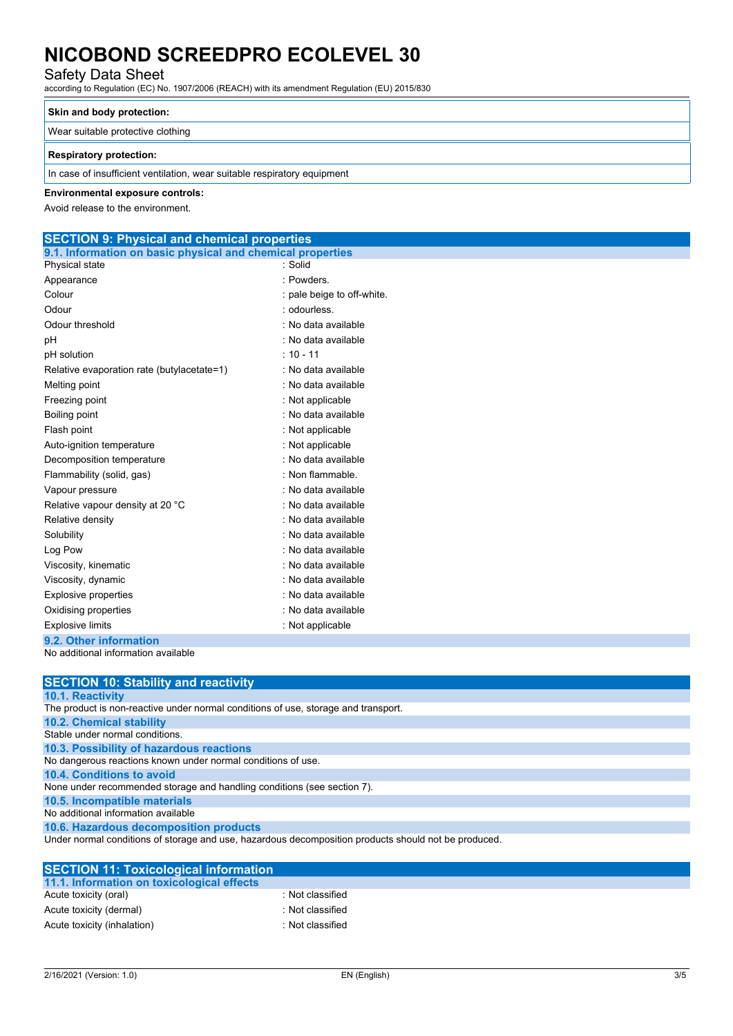Safety Data Sheet

according to Regulation (EC) No. 1907/2006 (REACH) with its amendment Regulation (EU) 2015/830

### **Skin and body protection:**

Wear suitable protective clothing

### **Respiratory protection:**

In case of insufficient ventilation, wear suitable respiratory equipment

### **Environmental exposure controls:**

Avoid release to the environment.

### **SECTION 9: Physical and chemical properties 9.1. Information on basic physical and chemical properties**

| Physical state                             | · Solid                    |
|--------------------------------------------|----------------------------|
| Appearance                                 | · Powders                  |
| Colour                                     | : pale beige to off-white. |
| Odour                                      | : odourless.               |
| Odour threshold                            | . No data available        |
| рH                                         | : No data available        |
| pH solution                                | $: 10 - 11$                |
| Relative evaporation rate (butylacetate=1) | : No data available        |
| Melting point                              | : No data available        |
| Freezing point                             | : Not applicable           |
| Boiling point                              | : No data available        |
| Flash point                                | : Not applicable           |
| Auto-ignition temperature                  | : Not applicable           |
| Decomposition temperature                  | . No data available        |
| Flammability (solid, gas)                  | : Non flammable.           |
| Vapour pressure                            | . No data available        |
| Relative vapour density at 20 °C           | : No data available        |
| Relative density                           | : No data available        |
| Solubility                                 | : No data available        |
| Log Pow                                    | : No data available        |
| Viscosity, kinematic                       | : No data available        |
| Viscosity, dynamic                         | : No data available        |
| <b>Explosive properties</b>                | : No data available        |
| Oxidising properties                       | : No data available        |
| <b>Explosive limits</b>                    | : Not applicable           |
| 9.2. Other information                     |                            |

No additional information available

| <b>SECTION 10: Stability and reactivity</b>                                                          |
|------------------------------------------------------------------------------------------------------|
| 10.1. Reactivity                                                                                     |
| The product is non-reactive under normal conditions of use, storage and transport.                   |
| <b>10.2. Chemical stability</b>                                                                      |
| Stable under normal conditions.                                                                      |
| 10.3. Possibility of hazardous reactions                                                             |
| No dangerous reactions known under normal conditions of use.                                         |
| 10.4. Conditions to avoid                                                                            |
| None under recommended storage and handling conditions (see section 7).                              |
| 10.5. Incompatible materials                                                                         |
| No additional information available                                                                  |
| 10.6. Hazardous decomposition products                                                               |
| Under normal conditions of storage and use, hazardous decomposition products should not be produced. |

| <b>SECTION 11: Toxicological information</b> |                  |  |
|----------------------------------------------|------------------|--|
| 11.1. Information on toxicological effects   |                  |  |
| Acute toxicity (oral)                        | : Not classified |  |
| Acute toxicity (dermal)                      | : Not classified |  |
| Acute toxicity (inhalation)                  | : Not classified |  |
|                                              |                  |  |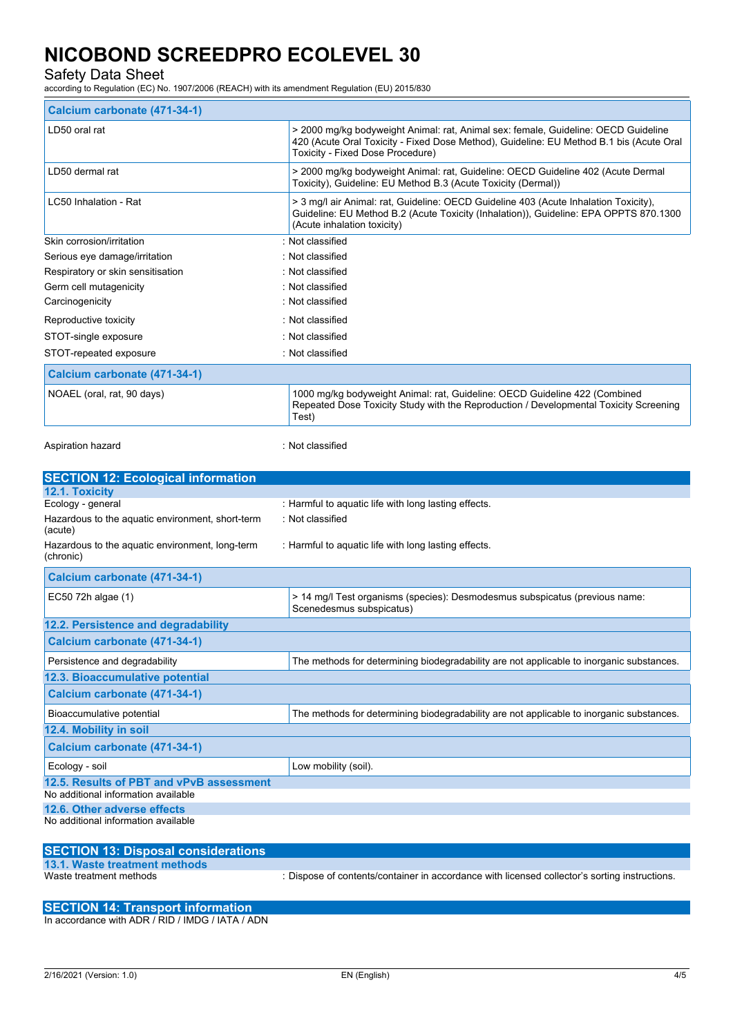Safety Data Sheet

according to Regulation (EC) No. 1907/2006 (REACH) with its amendment Regulation (EU) 2015/830

| Calcium carbonate (471-34-1)      |                                                                                                                                                                                                                   |  |
|-----------------------------------|-------------------------------------------------------------------------------------------------------------------------------------------------------------------------------------------------------------------|--|
| LD50 oral rat                     | > 2000 mg/kg bodyweight Animal: rat, Animal sex: female, Guideline: OECD Guideline<br>420 (Acute Oral Toxicity - Fixed Dose Method), Guideline: EU Method B.1 bis (Acute Oral<br>Toxicity - Fixed Dose Procedure) |  |
| LD50 dermal rat                   | > 2000 mg/kg bodyweight Animal: rat, Guideline: OECD Guideline 402 (Acute Dermal<br>Toxicity), Guideline: EU Method B.3 (Acute Toxicity (Dermal))                                                                 |  |
| LC50 Inhalation - Rat             | > 3 mg/l air Animal: rat, Guideline: OECD Guideline 403 (Acute Inhalation Toxicity),<br>Guideline: EU Method B.2 (Acute Toxicity (Inhalation)), Guideline: EPA OPPTS 870.1300<br>(Acute inhalation toxicity)      |  |
| Skin corrosion/irritation         | : Not classified                                                                                                                                                                                                  |  |
| Serious eye damage/irritation     | : Not classified                                                                                                                                                                                                  |  |
| Respiratory or skin sensitisation | : Not classified                                                                                                                                                                                                  |  |
| Germ cell mutagenicity            | · Not classified                                                                                                                                                                                                  |  |
| Carcinogenicity                   | : Not classified                                                                                                                                                                                                  |  |
| Reproductive toxicity             | : Not classified                                                                                                                                                                                                  |  |
| STOT-single exposure              | : Not classified                                                                                                                                                                                                  |  |
| STOT-repeated exposure            | : Not classified                                                                                                                                                                                                  |  |
| Calcium carbonate (471-34-1)      |                                                                                                                                                                                                                   |  |
| NOAEL (oral, rat, 90 days)        | 1000 mg/kg bodyweight Animal: rat, Guideline: OECD Guideline 422 (Combined<br>Repeated Dose Toxicity Study with the Reproduction / Developmental Toxicity Screening<br>Test)                                      |  |

Aspiration hazard is a set of the set of the set of the set of the set of the set of the set of the set of the

| <b>SECTION 12: Ecological information</b>                    |                                                                                                         |
|--------------------------------------------------------------|---------------------------------------------------------------------------------------------------------|
| 12.1. Toxicity                                               |                                                                                                         |
| Ecology - general                                            | : Harmful to aquatic life with long lasting effects.                                                    |
| Hazardous to the aquatic environment, short-term<br>(acute)  | : Not classified                                                                                        |
| Hazardous to the aquatic environment, long-term<br>(chronic) | : Harmful to aquatic life with long lasting effects.                                                    |
| Calcium carbonate (471-34-1)                                 |                                                                                                         |
| EC50 72h algae (1)                                           | > 14 mg/l Test organisms (species): Desmodesmus subspicatus (previous name:<br>Scenedesmus subspicatus) |
| 12.2. Persistence and degradability                          |                                                                                                         |
| Calcium carbonate (471-34-1)                                 |                                                                                                         |
| Persistence and degradability                                | The methods for determining biodegradability are not applicable to inorganic substances.                |
| 12.3. Bioaccumulative potential                              |                                                                                                         |
| Calcium carbonate (471-34-1)                                 |                                                                                                         |
| Bioaccumulative potential                                    | The methods for determining biodegradability are not applicable to inorganic substances.                |
| 12.4. Mobility in soil                                       |                                                                                                         |
| Calcium carbonate (471-34-1)                                 |                                                                                                         |
| Ecology - soil                                               | Low mobility (soil).                                                                                    |
| 12.5. Results of PBT and vPvB assessment                     |                                                                                                         |
| No additional information available                          |                                                                                                         |
| 12.6. Other adverse effects                                  |                                                                                                         |
| No additional information available                          |                                                                                                         |

| <b>SECTION 13: Disposal considerations</b> |                                                                                               |
|--------------------------------------------|-----------------------------------------------------------------------------------------------|
| 13.1. Waste treatment methods              |                                                                                               |
| Waste treatment methods                    | : Dispose of contents/container in accordance with licensed collector's sorting instructions. |

### **SECTION 14: Transport information**

In accordance with ADR / RID / IMDG / IATA / ADN